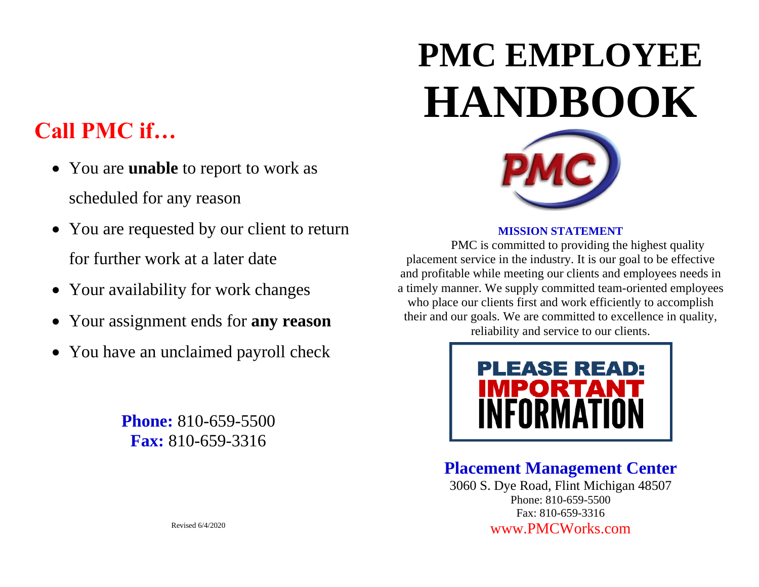## **Call PMC if…**

- You are **unable** to report to work as scheduled for any reason
- You are requested by our client to return for further work at a later date
- Your availability for work changes
- Your assignment ends for **any reason**
- You have an unclaimed payroll check

**Phone:** 810-659-5500 **Fax:** 810-659-3316

# **PMC EMPLOYEE HANDBOOK**



#### **MISSION STATEMENT**

PMC is committed to providing the highest quality placement service in the industry. It is our goal to be effective and profitable while meeting our clients and employees needs in a timely manner. We supply committed team-oriented employees who place our clients first and work efficiently to accomplish their and our goals. We are committed to excellence in quality, reliability and service to our clients.



### **Placement Management Center**

3060 S. Dye Road, Flint Michigan 48507 Phone: 810-659-5500 Fax: 810-659-3316 [www.PMCWorks.com](http://www.pmcworks.com/)

Revised 6/4/2020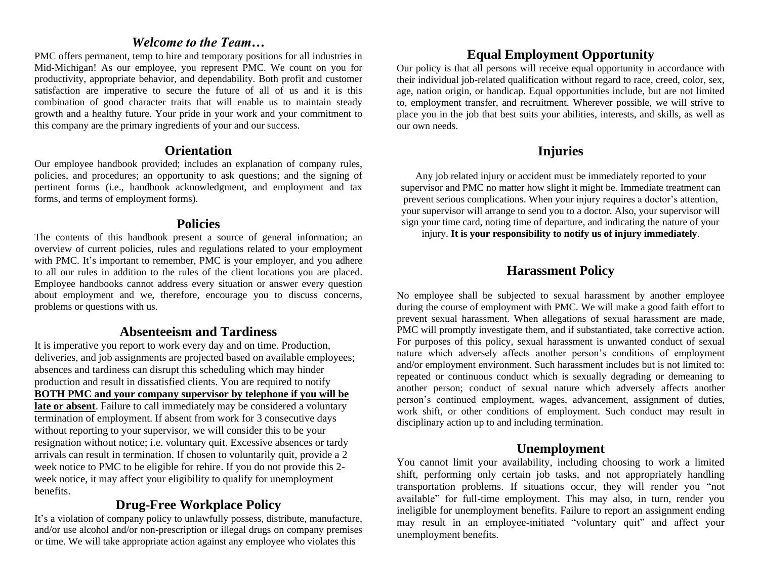#### *Welcome to the Team…*

PMC offers permanent, temp to hire and temporary positions for all industries in Mid-Michigan! As our employee, you represent PMC. We count on you for productivity, appropriate behavior, and dependability. Both profit and customer satisfaction are imperative to secure the future of all of us and it is this combination of good character traits that will enable us to maintain steady growth and a healthy future. Your pride in your work and your commitment to this company are the primary ingredients of your and our success.

#### **Orientation**

Our employee handbook provided; includes an explanation of company rules, policies, and procedures; an opportunity to ask questions; and the signing of pertinent forms (i.e., handbook acknowledgment, and employment and tax forms, and terms of employment forms).

#### **Policies**

The contents of this handbook present a source of general information; an overview of current policies, rules and regulations related to your employment with PMC. It's important to remember, PMC is your employer, and you adhere to all our rules in addition to the rules of the client locations you are placed. Employee handbooks cannot address every situation or answer every question about employment and we, therefore, encourage you to discuss concerns, problems or questions with us.

#### **Absenteeism and Tardiness**

It is imperative you report to work every day and on time. Production, deliveries, and job assignments are projected based on available employees; absences and tardiness can disrupt this scheduling which may hinder production and result in dissatisfied clients. You are required to notify **BOTH PMC and your company supervisor by telephone if you will be late or absent**. Failure to call immediately may be considered a voluntary termination of employment. If absent from work for 3 consecutive days without reporting to your supervisor, we will consider this to be your resignation without notice; i.e. voluntary quit. Excessive absences or tardy arrivals can result in termination. If chosen to voluntarily quit, provide a 2 week notice to PMC to be eligible for rehire. If you do not provide this 2 week notice, it may affect your eligibility to qualify for unemployment benefits.

#### **Drug-Free Workplace Policy**

It's a violation of company policy to unlawfully possess, distribute, manufacture, and/or use alcohol and/or non-prescription or illegal drugs on company premises or time. We will take appropriate action against any employee who violates this

#### **Equal Employment Opportunity**

Our policy is that all persons will receive equal opportunity in accordance with their individual job-related qualification without regard to race, creed, color, sex, age, nation origin, or handicap. Equal opportunities include, but are not limited to, employment transfer, and recruitment. Wherever possible, we will strive to place you in the job that best suits your abilities, interests, and skills, as well as our own needs.

#### **Injuries**

Any job related injury or accident must be immediately reported to your supervisor and PMC no matter how slight it might be. Immediate treatment can prevent serious complications. When your injury requires a doctor's attention, your supervisor will arrange to send you to a doctor. Also, your supervisor will sign your time card, noting time of departure, and indicating the nature of your

injury. **It is your responsibility to notify us of injury immediately**.

#### **Harassment Policy**

No employee shall be subjected to sexual harassment by another employee during the course of employment with PMC. We will make a good faith effort to prevent sexual harassment. When allegations of sexual harassment are made, PMC will promptly investigate them, and if substantiated, take corrective action. For purposes of this policy, sexual harassment is unwanted conduct of sexual nature which adversely affects another person's conditions of employment and/or employment environment. Such harassment includes but is not limited to: repeated or continuous conduct which is sexually degrading or demeaning to another person; conduct of sexual nature which adversely affects another person's continued employment, wages, advancement, assignment of duties, work shift, or other conditions of employment. Such conduct may result in disciplinary action up to and including termination.

#### **Unemployment**

You cannot limit your availability, including choosing to work a limited shift, performing only certain job tasks, and not appropriately handling transportation problems. If situations occur, they will render you "not available" for full-time employment. This may also, in turn, render you ineligible for unemployment benefits. Failure to report an assignment ending may result in an employee-initiated "voluntary quit" and affect your unemployment benefits.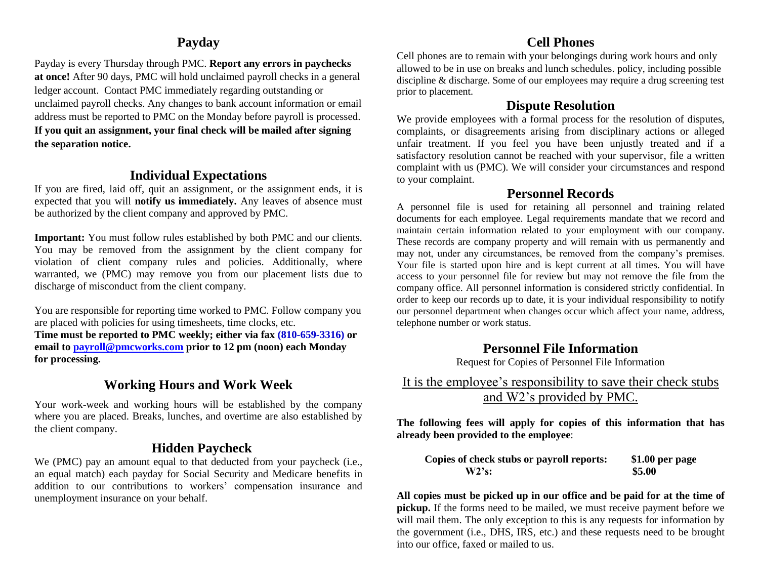#### **Payday**

Payday is every Thursday through PMC. **Report any errors in paychecks at once!** After 90 days, PMC will hold unclaimed payroll checks in a general ledger account. Contact PMC immediately regarding outstanding or unclaimed payroll checks. Any changes to bank account information or email address must be reported to PMC on the Monday before payroll is processed. **If you quit an assignment, your final check will be mailed after signing the separation notice.**

#### **Individual Expectations**

If you are fired, laid off, quit an assignment, or the assignment ends, it is expected that you will **notify us immediately.** Any leaves of absence must be authorized by the client company and approved by PMC.

**Important:** You must follow rules established by both PMC and our clients. You may be removed from the assignment by the client company for violation of client company rules and policies. Additionally, where warranted, we (PMC) may remove you from our placement lists due to discharge of misconduct from the client company.

You are responsible for reporting time worked to PMC. Follow company you are placed with policies for using timesheets, time clocks, etc. **Time must be reported to PMC weekly; either via fax (810-659-3316) or email to [payroll@pmcworks.com](mailto:payroll@pmcworks.com) prior to 12 pm (noon) each Monday for processing.**

#### **Working Hours and Work Week**

Your work-week and working hours will be established by the company where you are placed. Breaks, lunches, and overtime are also established by the client company.

#### **Hidden Paycheck**

We (PMC) pay an amount equal to that deducted from your paycheck (i.e., an equal match) each payday for Social Security and Medicare benefits in addition to our contributions to workers' compensation insurance and unemployment insurance on your behalf.

#### **Cell Phones**

Cell phones are to remain with your belongings during work hours and only allowed to be in use on breaks and lunch schedules. policy, including possible discipline & discharge. Some of our employees may require a drug screening test prior to placement.

#### **Dispute Resolution**

We provide employees with a formal process for the resolution of disputes, complaints, or disagreements arising from disciplinary actions or alleged unfair treatment. If you feel you have been unjustly treated and if a satisfactory resolution cannot be reached with your supervisor, file a written complaint with us (PMC). We will consider your circumstances and respond to your complaint.

#### **Personnel Records**

A personnel file is used for retaining all personnel and training related documents for each employee. Legal requirements mandate that we record and maintain certain information related to your employment with our company. These records are company property and will remain with us permanently and may not, under any circumstances, be removed from the company's premises. Your file is started upon hire and is kept current at all times. You will have access to your personnel file for review but may not remove the file from the company office. All personnel information is considered strictly confidential. In order to keep our records up to date, it is your individual responsibility to notify our personnel department when changes occur which affect your name, address, telephone number or work status.

#### **Personnel File Information**

Request for Copies of Personnel File Information

It is the employee's responsibility to save their check stubs and W2's provided by PMC.

**The following fees will apply for copies of this information that has already been provided to the employee**:

| Copies of check stubs or payroll reports: | \$1.00 per page |
|-------------------------------------------|-----------------|
| W2's:                                     | \$5.00          |

**All copies must be picked up in our office and be paid for at the time of pickup.** If the forms need to be mailed, we must receive payment before we will mail them. The only exception to this is any requests for information by the government (i.e., DHS, IRS, etc.) and these requests need to be brought into our office, faxed or mailed to us.